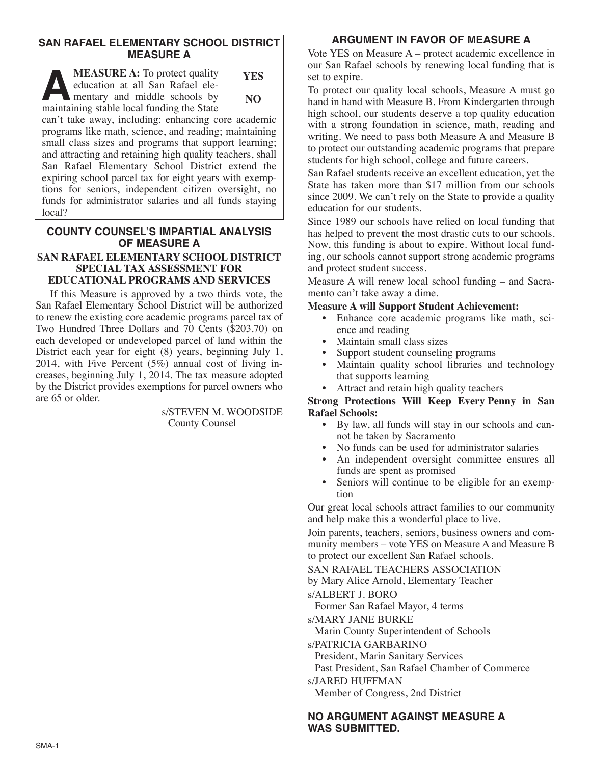## **SAN RAFAEL ELEMENTARY SCHOOL DISTRICT MEASURE A**

**ALASURE A:** To protect quality education at all San Rafael elementary and middle schools by maintaining stable local funding the State education at all San Rafael elementary and middle schools by maintaining stable local funding the State



can't take away, including: enhancing core academic programs like math, science, and reading; maintaining small class sizes and programs that support learning; and attracting and retaining high quality teachers, shall San Rafael Elementary School District extend the expiring school parcel tax for eight years with exemptions for seniors, independent citizen oversight, no funds for administrator salaries and all funds staying local?

## **COUNTY COUNSEL'S IMPARTIAL ANALYSIS OF MEASURE A**

#### **SAN RAFAEL ELEMENTARY SCHOOL DISTRICT SPECIAL TAX ASSESSMENT FOR EDUCATIONAL PROGRAMS AND SERVICES**

If this Measure is approved by a two thirds vote, the San Rafael Elementary School District will be authorized to renew the existing core academic programs parcel tax of Two Hundred Three Dollars and 70 Cents (\$203.70) on each developed or undeveloped parcel of land within the District each year for eight (8) years, beginning July 1, 2014, with Five Percent (5%) annual cost of living increases, beginning July 1, 2014. The tax measure adopted by the District provides exemptions for parcel owners who are 65 or older.

> s/STEVEN M. WOODSIDE County Counsel

## **ARGUMENT IN FAVOR OF MEASURE A**

Vote YES on Measure A – protect academic excellence in our San Rafael schools by renewing local funding that is set to expire.

To protect our quality local schools, Measure A must go hand in hand with Measure B. From Kindergarten through high school, our students deserve a top quality education with a strong foundation in science, math, reading and writing. We need to pass both Measure A and Measure B to protect our outstanding academic programs that prepare students for high school, college and future careers.

San Rafael students receive an excellent education, yet the State has taken more than \$17 million from our schools since 2009. We can't rely on the State to provide a quality education for our students.

Since 1989 our schools have relied on local funding that has helped to prevent the most drastic cuts to our schools. Now, this funding is about to expire. Without local funding, our schools cannot support strong academic programs and protect student success.

Measure A will renew local school funding – and Sacramento can't take away a dime.

### **Measure A will Support Student Achievement:**

- Enhance core academic programs like math, science and reading
- Maintain small class sizes
- Support student counseling programs
- Maintain quality school libraries and technology that supports learning
- Attract and retain high quality teachers

#### **Strong Protections Will Keep Every Penny in San Rafael Schools:**

- By law, all funds will stay in our schools and cannot be taken by Sacramento
- No funds can be used for administrator salaries
- An independent oversight committee ensures all funds are spent as promised
- Seniors will continue to be eligible for an exemption

Our great local schools attract families to our community and help make this a wonderful place to live.

Join parents, teachers, seniors, business owners and community members – vote YES on Measure A and Measure B to protect our excellent San Rafael schools.

SAN RAFAEL TEACHERS ASSOCIATION

by Mary Alice Arnold, Elementary Teacher

s/ALBERT J. BORO

Former San Rafael Mayor, 4 terms

s/MARY JANE BURKE

Marin County Superintendent of Schools

s/PATRICIA GARBARINO

President, Marin Sanitary Services

Past President, San Rafael Chamber of Commerce

#### s/JARED HUFFMAN

Member of Congress, 2nd District

### **NO ARGUMENT AGAINST MEASURE A WAS SUBMITTED.**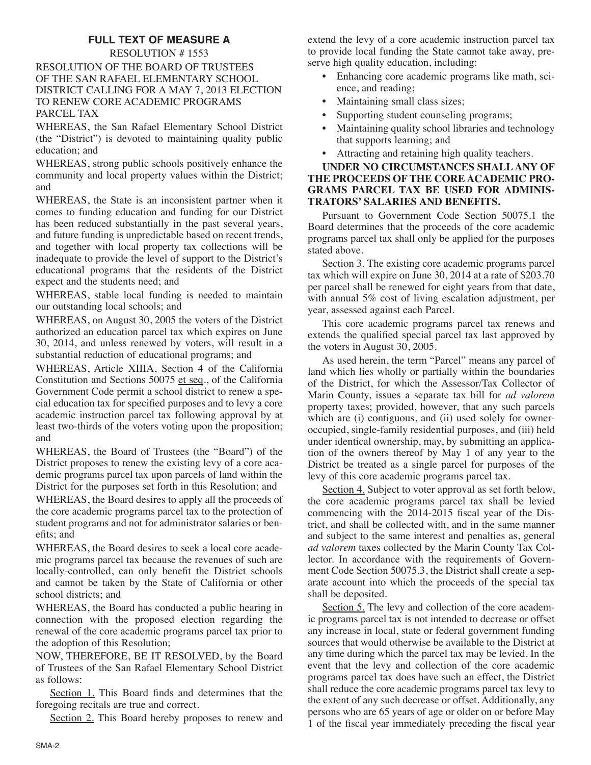# **FULL TEXT OF MEASURE A**

RESOLUTION # 1553 RESOLUTION OF THE BOARD OF TRUSTEES OF THE SAN RAFAEL ELEMENTARY SCHOOL DISTRICT CALLING FOR A MAY 7, 2013 ELECTION TO RENEW CORE ACADEMIC PROGRAMS PARCEL TAX

WHEREAS, the San Rafael Elementary School District (the "District") is devoted to maintaining quality public education; and

WHEREAS, strong public schools positively enhance the community and local property values within the District; and

WHEREAS, the State is an inconsistent partner when it comes to funding education and funding for our District has been reduced substantially in the past several years, and future funding is unpredictable based on recent trends, and together with local property tax collections will be inadequate to provide the level of support to the District's educational programs that the residents of the District expect and the students need; and

WHEREAS, stable local funding is needed to maintain our outstanding local schools; and

WHEREAS, on August 30, 2005 the voters of the District authorized an education parcel tax which expires on June 30, 2014, and unless renewed by voters, will result in a substantial reduction of educational programs; and

WHEREAS, Article XIIIA, Section 4 of the California Constitution and Sections 50075 et seq., of the California Government Code permit a school district to renew a special education tax for specified purposes and to levy a core academic instruction parcel tax following approval by at least two-thirds of the voters voting upon the proposition; and

WHEREAS, the Board of Trustees (the "Board") of the District proposes to renew the existing levy of a core academic programs parcel tax upon parcels of land within the District for the purposes set forth in this Resolution; and

WHEREAS, the Board desires to apply all the proceeds of the core academic programs parcel tax to the protection of student programs and not for administrator salaries or benefits; and

WHEREAS, the Board desires to seek a local core academic programs parcel tax because the revenues of such are locally-controlled, can only benefit the District schools and cannot be taken by the State of California or other school districts; and

WHEREAS, the Board has conducted a public hearing in connection with the proposed election regarding the renewal of the core academic programs parcel tax prior to the adoption of this Resolution;

NOW, THEREFORE, BE IT RESOLVED, by the Board of Trustees of the San Rafael Elementary School District as follows:

Section 1. This Board finds and determines that the foregoing recitals are true and correct.

Section 2. This Board hereby proposes to renew and

extend the levy of a core academic instruction parcel tax to provide local funding the State cannot take away, preserve high quality education, including:

- Enhancing core academic programs like math, science, and reading;
- Maintaining small class sizes;
- Supporting student counseling programs;
- Maintaining quality school libraries and technology that supports learning; and
- Attracting and retaining high quality teachers.

### **UNDER NO CIRCUMSTANCES SHALL ANY OF THE PROCEEDS OF THE CORE ACADEMIC PRO-GRAMS PARCEL TAX BE USED FOR ADMINIS-TRATORS' SALARIES AND BENEFITS.**

Pursuant to Government Code Section 50075.1 the Board determines that the proceeds of the core academic programs parcel tax shall only be applied for the purposes stated above.

Section 3. The existing core academic programs parcel tax which will expire on June 30, 2014 at a rate of \$203.70 per parcel shall be renewed for eight years from that date, with annual 5% cost of living escalation adjustment, per year, assessed against each Parcel.

This core academic programs parcel tax renews and extends the qualified special parcel tax last approved by the voters in August 30, 2005.

As used herein, the term "Parcel" means any parcel of land which lies wholly or partially within the boundaries of the District, for which the Assessor/Tax Collector of Marin County, issues a separate tax bill for *ad valorem* property taxes; provided, however, that any such parcels which are (i) contiguous, and (ii) used solely for owneroccupied, single-family residential purposes, and (iii) held under identical ownership, may, by submitting an application of the owners thereof by May 1 of any year to the District be treated as a single parcel for purposes of the levy of this core academic programs parcel tax.

Section 4. Subject to voter approval as set forth below, the core academic programs parcel tax shall be levied commencing with the 2014-2015 fiscal year of the District, and shall be collected with, and in the same manner and subject to the same interest and penalties as, general *ad valorem* taxes collected by the Marin County Tax Collector. In accordance with the requirements of Government Code Section 50075.3, the District shall create a separate account into which the proceeds of the special tax shall be deposited.

Section 5. The levy and collection of the core academic programs parcel tax is not intended to decrease or offset any increase in local, state or federal government funding sources that would otherwise be available to the District at any time during which the parcel tax may be levied. In the event that the levy and collection of the core academic programs parcel tax does have such an effect, the District shall reduce the core academic programs parcel tax levy to the extent of any such decrease or offset. Additionally, any persons who are 65 years of age or older on or before May 1 of the fiscal year immediately preceding the fiscal year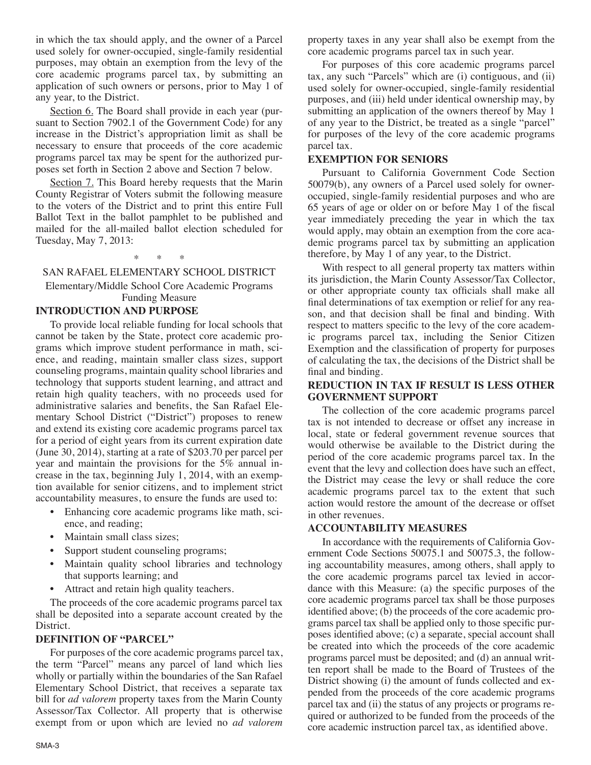in which the tax should apply, and the owner of a Parcel used solely for owner-occupied, single-family residential purposes, may obtain an exemption from the levy of the core academic programs parcel tax, by submitting an application of such owners or persons, prior to May 1 of any year, to the District.

Section 6. The Board shall provide in each year (pursuant to Section 7902.1 of the Government Code) for any increase in the District's appropriation limit as shall be necessary to ensure that proceeds of the core academic programs parcel tax may be spent for the authorized purposes set forth in Section 2 above and Section 7 below.

Section 7. This Board hereby requests that the Marin County Registrar of Voters submit the following measure to the voters of the District and to print this entire Full Ballot Text in the ballot pamphlet to be published and mailed for the all-mailed ballot election scheduled for Tuesday, May 7, 2013:

\* \* \*

## SAN RAFAEL ELEMENTARY SCHOOL DISTRICT

Elementary/Middle School Core Academic Programs Funding Measure

## **INTRODUCTION AND PURPOSE**

To provide local reliable funding for local schools that cannot be taken by the State, protect core academic programs which improve student performance in math, science, and reading, maintain smaller class sizes, support counseling programs, maintain quality school libraries and technology that supports student learning, and attract and retain high quality teachers, with no proceeds used for administrative salaries and benefits, the San Rafael Elementary School District ("District") proposes to renew and extend its existing core academic programs parcel tax for a period of eight years from its current expiration date (June 30, 2014), starting at a rate of \$203.70 per parcel per year and maintain the provisions for the 5% annual increase in the tax, beginning July 1, 2014, with an exemption available for senior citizens, and to implement strict accountability measures, to ensure the funds are used to:

- Enhancing core academic programs like math, science, and reading;
- Maintain small class sizes;
- Support student counseling programs;
- Maintain quality school libraries and technology that supports learning; and
- Attract and retain high quality teachers.

The proceeds of the core academic programs parcel tax shall be deposited into a separate account created by the District.

# **DEFINITION OF "PARCEL"**

For purposes of the core academic programs parcel tax, the term "Parcel" means any parcel of land which lies wholly or partially within the boundaries of the San Rafael Elementary School District, that receives a separate tax bill for *ad valorem* property taxes from the Marin County Assessor/Tax Collector. All property that is otherwise exempt from or upon which are levied no *ad valorem* property taxes in any year shall also be exempt from the core academic programs parcel tax in such year.

For purposes of this core academic programs parcel tax, any such "Parcels" which are (i) contiguous, and (ii) used solely for owner-occupied, single-family residential purposes, and (iii) held under identical ownership may, by submitting an application of the owners thereof by May 1 of any year to the District, be treated as a single "parcel" for purposes of the levy of the core academic programs parcel tax.

# **EXEMPTION FOR SENIORS**

Pursuant to California Government Code Section 50079(b), any owners of a Parcel used solely for owneroccupied, single-family residential purposes and who are 65 years of age or older on or before May 1 of the fiscal year immediately preceding the year in which the tax would apply, may obtain an exemption from the core academic programs parcel tax by submitting an application therefore, by May 1 of any year, to the District.

With respect to all general property tax matters within its jurisdiction, the Marin County Assessor/Tax Collector, or other appropriate county tax officials shall make all final determinations of tax exemption or relief for any reason, and that decision shall be final and binding. With respect to matters specific to the levy of the core academic programs parcel tax, including the Senior Citizen Exemption and the classification of property for purposes of calculating the tax, the decisions of the District shall be final and binding.

### **REDUCTION IN TAX IF RESULT IS LESS OTHER GOVERNMENT SUPPORT**

The collection of the core academic programs parcel tax is not intended to decrease or offset any increase in local, state or federal government revenue sources that would otherwise be available to the District during the period of the core academic programs parcel tax. In the event that the levy and collection does have such an effect, the District may cease the levy or shall reduce the core academic programs parcel tax to the extent that such action would restore the amount of the decrease or offset in other revenues.

# **ACCOUNTABILITY MEASURES**

In accordance with the requirements of California Government Code Sections 50075.1 and 50075.3, the following accountability measures, among others, shall apply to the core academic programs parcel tax levied in accordance with this Measure: (a) the specific purposes of the core academic programs parcel tax shall be those purposes identified above; (b) the proceeds of the core academic programs parcel tax shall be applied only to those specific purposes identified above; (c) a separate, special account shall be created into which the proceeds of the core academic programs parcel must be deposited; and (d) an annual written report shall be made to the Board of Trustees of the District showing (i) the amount of funds collected and expended from the proceeds of the core academic programs parcel tax and (ii) the status of any projects or programs required or authorized to be funded from the proceeds of the core academic instruction parcel tax, as identified above.